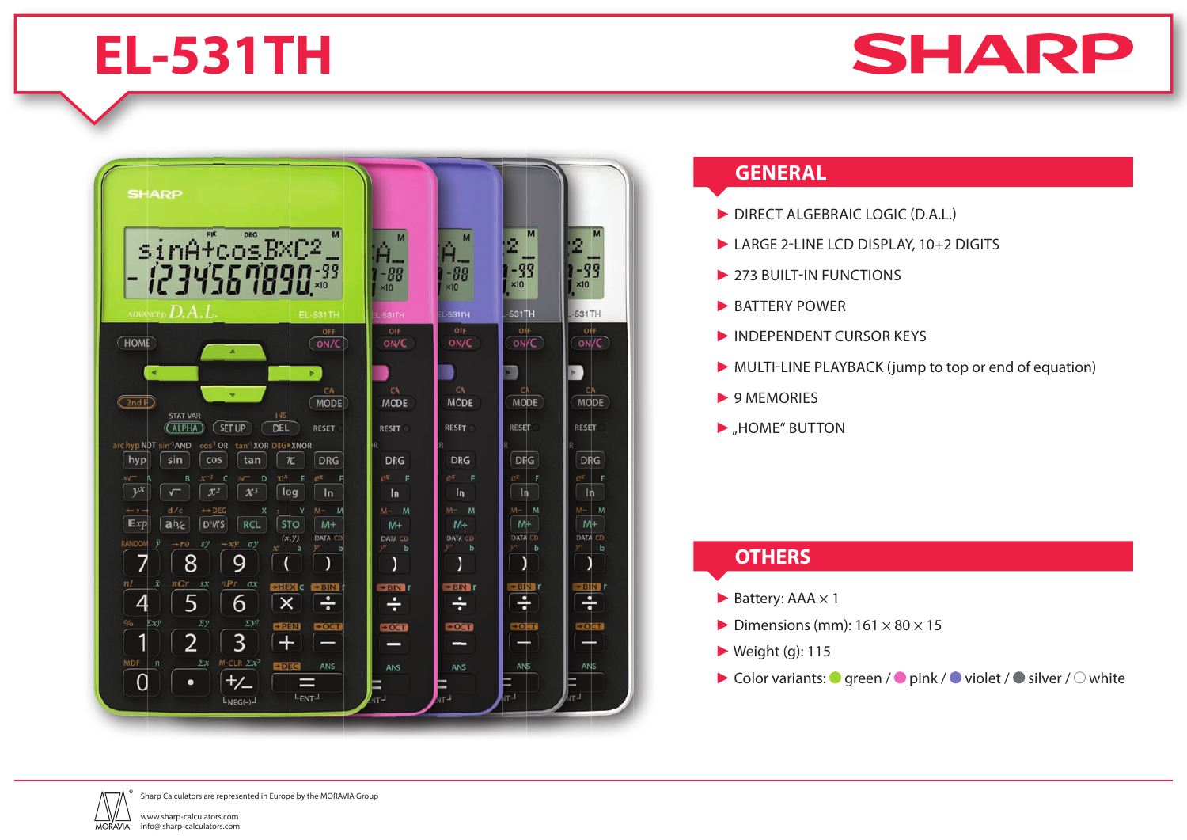# **EL-531TH**





### **GENERAL**

- ► DIRECT ALGEBRAIC LOGIC (D.A.L.)
- ► LARGE 2-LINE LCD DISPLAY, 10+2 DIGITS
- ▶ 273 BUILT-IN FUNCTIONS
- ► BATTERY POWER
- ► INDEPENDENT CURSOR KEYS
- ► MULTI-LINE PLAYBACK (jump to top or end of equation)
- ► 9 MEMORIES
- ▶ "HOME" BUTTON

#### **OTHERS**

- $\blacktriangleright$  Battery: AAA  $\times$  1
- $\triangleright$  Dimensions (mm): 161  $\times$  80  $\times$  15
- $\blacktriangleright$  Weight (g): 115
- $\blacktriangleright$  Color variants:  $\blacktriangleright$  green /  $\blacktriangleright$  pink /  $\blacktriangleright$  violet /  $\blacktriangleright$  silver /  $\heartsuit$  white